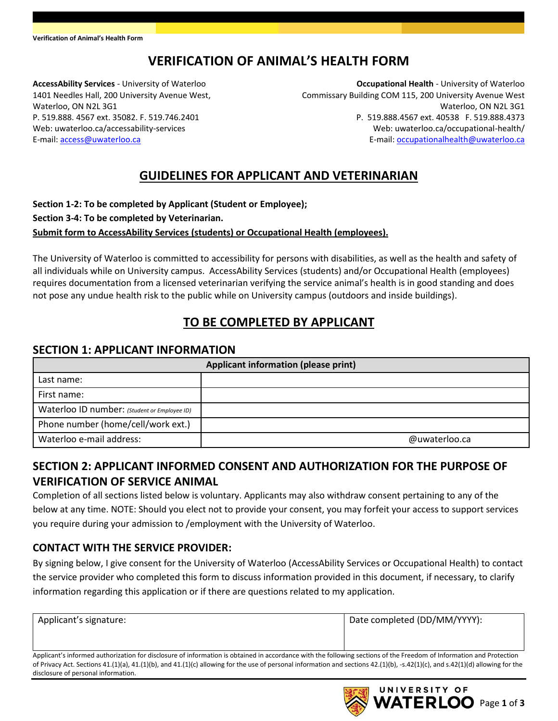# **VERIFICATION OF ANIMAL'S HEALTH FORM**

**AccessAbility Services** - University of Waterloo 1401 Needles Hall, 200 University Avenue West, Waterloo, ON N2L 3G1 P. 519.888. 4567 ext. 35082. F. 519.746.2401 Web: uwaterloo.ca/accessability-services E-mail: [access@uwaterloo.ca](mailto:access@uwaterloo.ca)

**Occupational Health** - University of Waterloo Commissary Building COM 115, 200 University Avenue West Waterloo, ON N2L 3G1 P. 519.888.4567 ext. 40538 F. 519.888.4373 Web: uwaterloo.ca/occupational-health/ E-mail[: occupationalhealth@uwaterloo.ca](mailto:occupationalhealth@uwaterloo.ca)

## **GUIDELINES FOR APPLICANT AND VETERINARIAN**

#### **Section 1-2: To be completed by Applicant (Student or Employee); Section 3-4: To be completed by Veterinarian. Submit form to AccessAbility Services (students) or Occupational Health (employees).**

The University of Waterloo is committed to accessibility for persons with disabilities, as well as the health and safety of all individuals while on University campus. AccessAbility Services (students) and/or Occupational Health (employees) requires documentation from a licensed veterinarian verifying the service animal's health is in good standing and does not pose any undue health risk to the public while on University campus (outdoors and inside buildings).

# **TO BE COMPLETED BY APPLICANT**

#### **SECTION 1: APPLICANT INFORMATION**

| <b>Applicant information (please print)</b>  |               |  |  |  |
|----------------------------------------------|---------------|--|--|--|
| Last name:                                   |               |  |  |  |
| First name:                                  |               |  |  |  |
| Waterloo ID number: (Student or Employee ID) |               |  |  |  |
| Phone number (home/cell/work ext.)           |               |  |  |  |
| Waterloo e-mail address:                     | @uwaterloo.ca |  |  |  |

## **SECTION 2: APPLICANT INFORMED CONSENT AND AUTHORIZATION FOR THE PURPOSE OF VERIFICATION OF SERVICE ANIMAL**

Completion of all sections listed below is voluntary. Applicants may also withdraw consent pertaining to any of the below at any time. NOTE: Should you elect not to provide your consent, you may forfeit your access to support services you require during your admission to /employment with the University of Waterloo.

### **CONTACT WITH THE SERVICE PROVIDER:**

By signing below, I give consent for the University of Waterloo (AccessAbility Services or Occupational Health) to contact the service provider who completed this form to discuss information provided in this document, if necessary, to clarify information regarding this application or if there are questions related to my application.

| Applicant's signature: | Date completed (DD/MM/YYYY): |
|------------------------|------------------------------|
|                        |                              |

Applicant's informed authorization for disclosure of information is obtained in accordance with the following sections of the Freedom of Information and Protection of Privacy Act. Sections 41.(1)(a), 41.(1)(b), and 41.(1)(c) allowing for the use of personal information and sections 42.(1)(b), -s.42(1)(c), and s.42(1)(d) allowing for the disclosure of personal information.

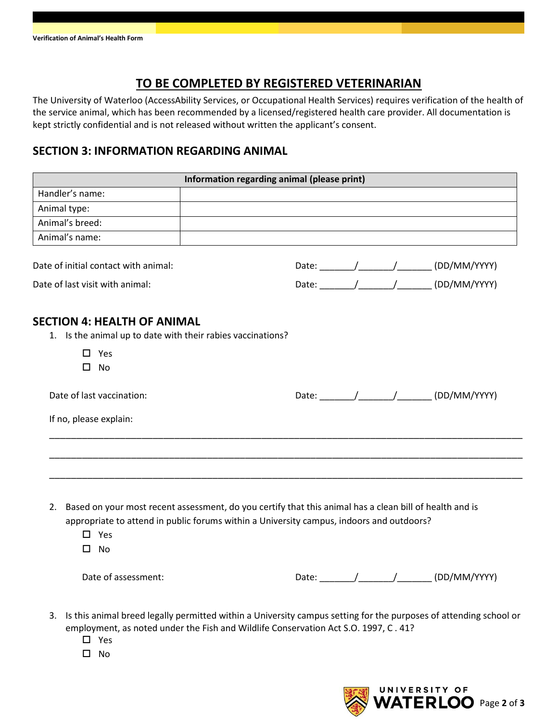## **TO BE COMPLETED BY REGISTERED VETERINARIAN**

The University of Waterloo (AccessAbility Services, or Occupational Health Services) requires verification of the health of the service animal, which has been recommended by a licensed/registered health care provider. All documentation is kept strictly confidential and is not released without written the applicant's consent.

### **SECTION 3: INFORMATION REGARDING ANIMAL**

|                                                                                                                                                                                                                                         | Information regarding animal (please print) |  |  |  |                                               |
|-----------------------------------------------------------------------------------------------------------------------------------------------------------------------------------------------------------------------------------------|---------------------------------------------|--|--|--|-----------------------------------------------|
| Handler's name:                                                                                                                                                                                                                         |                                             |  |  |  |                                               |
| Animal type:                                                                                                                                                                                                                            |                                             |  |  |  |                                               |
| Animal's breed:                                                                                                                                                                                                                         |                                             |  |  |  |                                               |
| Animal's name:                                                                                                                                                                                                                          |                                             |  |  |  |                                               |
| Date of initial contact with animal:                                                                                                                                                                                                    |                                             |  |  |  |                                               |
| Date of last visit with animal:                                                                                                                                                                                                         |                                             |  |  |  | Date: _______/________/_________ (DD/MM/YYYY) |
| <b>SECTION 4: HEALTH OF ANIMAL</b><br>1. Is the animal up to date with their rabies vaccinations?                                                                                                                                       |                                             |  |  |  |                                               |
| $\square$ Yes<br>$\square$ No                                                                                                                                                                                                           |                                             |  |  |  |                                               |
| Date of last vaccination:                                                                                                                                                                                                               |                                             |  |  |  |                                               |
|                                                                                                                                                                                                                                         |                                             |  |  |  |                                               |
| If no, please explain:                                                                                                                                                                                                                  |                                             |  |  |  |                                               |
|                                                                                                                                                                                                                                         |                                             |  |  |  |                                               |
|                                                                                                                                                                                                                                         |                                             |  |  |  |                                               |
| 2. Based on your most recent assessment, do you certify that this animal has a clean bill of health and is<br>appropriate to attend in public forums within a University campus, indoors and outdoors?<br>$\square$ Yes<br>$\square$ No |                                             |  |  |  |                                               |

- employment, as noted under the Fish and Wildlife Conservation Act S.O. 1997, C . 41?
	- □ Yes
	- $\square$  No